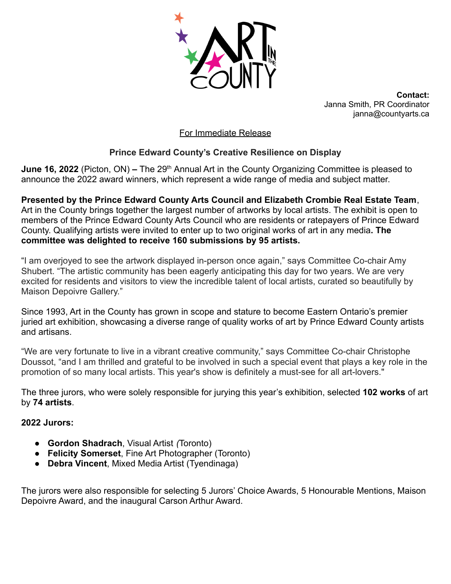

**Contact:** Janna Smith, PR Coordinator janna@countyarts.ca

### For Immediate Release

# **Prince Edward County's Creative Resilience on Display**

**June 16, 2022** (Picton, ON) – The 29<sup>th</sup> Annual Art in the County Organizing Committee is pleased to announce the 2022 award winners, which represent a wide range of media and subject matter.

**Presented by the Prince Edward County Arts Council and Elizabeth Crombie Real Estate Team**, Art in the County brings together the largest number of artworks by local artists. The exhibit is open to members of the Prince Edward County Arts Council who are residents or ratepayers of Prince Edward County. Qualifying artists were invited to enter up to two original works of art in any media**. The committee was delighted to receive 160 submissions by 95 artists.**

"I am overjoyed to see the artwork displayed in-person once again," says Committee Co-chair Amy Shubert. "The artistic community has been eagerly anticipating this day for two years. We are very excited for residents and visitors to view the incredible talent of local artists, curated so beautifully by Maison Depoivre Gallery."

Since 1993, Art in the County has grown in scope and stature to become Eastern Ontario's premier juried art exhibition, showcasing a diverse range of quality works of art by Prince Edward County artists and artisans.

"We are very fortunate to live in a vibrant creative community," says Committee Co-chair Christophe Doussot, "and I am thrilled and grateful to be involved in such a special event that plays a key role in the promotion of so many local artists. This year's show is definitely a must-see for all art-lovers."

The three jurors, who were solely responsible for jurying this year's exhibition, selected **102 works** of art by **74 artists**.

#### **2022 Jurors:**

- **Gordon Shadrach**, Visual Artist *(*Toronto)
- **Felicity Somerset**, Fine Art Photographer (Toronto)
- **Debra Vincent**, Mixed Media Artist (Tyendinaga)

The jurors were also responsible for selecting 5 Jurors' Choice Awards, 5 Honourable Mentions, Maison Depoivre Award, and the inaugural Carson Arthur Award.